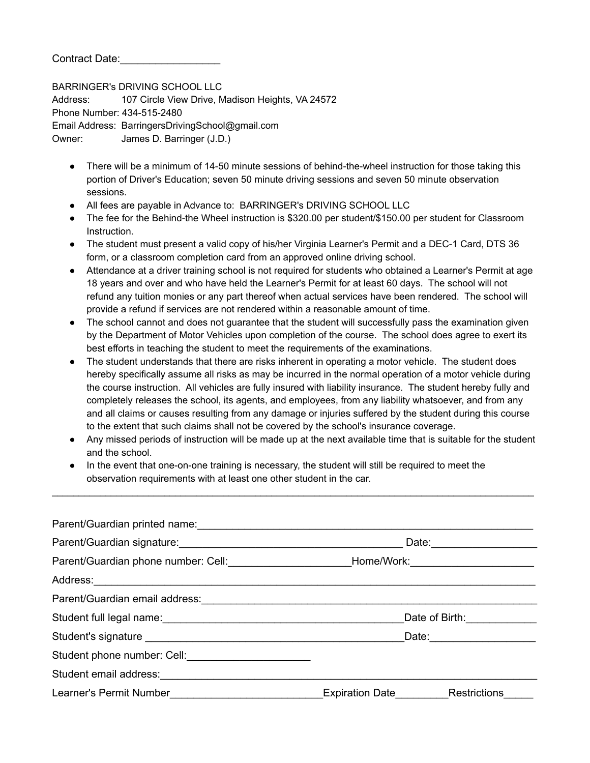Contract Date:

BARRINGER's DRIVING SCHOOL LLC Address: 107 Circle View Drive, Madison Heights, VA 24572 Phone Number: 434-515-2480 Email Address: BarringersDrivingSchool@gmail.com Owner: James D. Barringer (J.D.)

- There will be a minimum of 14-50 minute sessions of behind-the-wheel instruction for those taking this portion of Driver's Education; seven 50 minute driving sessions and seven 50 minute observation sessions.
- All fees are payable in Advance to: BARRINGER's DRIVING SCHOOL LLC
- The fee for the Behind-the Wheel instruction is \$320.00 per student/\$150.00 per student for Classroom Instruction.
- The student must present a valid copy of his/her Virginia Learner's Permit and a DEC-1 Card, DTS 36 form, or a classroom completion card from an approved online driving school.
- Attendance at a driver training school is not required for students who obtained a Learner's Permit at age 18 years and over and who have held the Learner's Permit for at least 60 days. The school will not refund any tuition monies or any part thereof when actual services have been rendered. The school will provide a refund if services are not rendered within a reasonable amount of time.
- The school cannot and does not guarantee that the student will successfully pass the examination given by the Department of Motor Vehicles upon completion of the course. The school does agree to exert its best efforts in teaching the student to meet the requirements of the examinations.
- The student understands that there are risks inherent in operating a motor vehicle. The student does hereby specifically assume all risks as may be incurred in the normal operation of a motor vehicle during the course instruction. All vehicles are fully insured with liability insurance. The student hereby fully and completely releases the school, its agents, and employees, from any liability whatsoever, and from any and all claims or causes resulting from any damage or injuries suffered by the student during this course to the extent that such claims shall not be covered by the school's insurance coverage.
- Any missed periods of instruction will be made up at the next available time that is suitable for the student and the school.

 $\mathcal{L}_\text{max}$  , and the contribution of the contribution of the contribution of the contribution of the contribution of the contribution of the contribution of the contribution of the contribution of the contribution of t

● In the event that one-on-one training is necessary, the student will still be required to meet the observation requirements with at least one other student in the car.

|                                                                                                            |                               | Date: 2004 |
|------------------------------------------------------------------------------------------------------------|-------------------------------|------------|
|                                                                                                            |                               |            |
|                                                                                                            |                               |            |
|                                                                                                            |                               |            |
| Student full legal name:<br><u> Examples 2008</u>                                                          | Date of Birth: ______________ |            |
|                                                                                                            |                               |            |
| Student phone number: Cell: <b>Contained a Contained Act of Containing the Containing Student Property</b> |                               |            |
|                                                                                                            |                               |            |
| Learner's Permit Number <b>Expiration Date</b> Expiration Date <b>Restrictions</b>                         |                               |            |